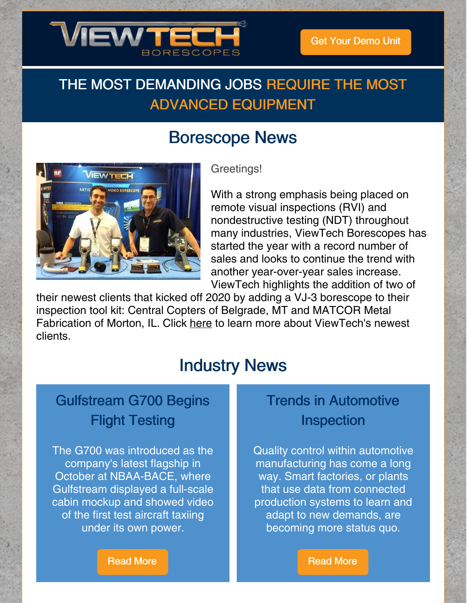

## THE MOST DEMANDING JOBS REQUIRE THE MOST ADVANCED EQUIPMENT

## Borescope News



Greetings!

With a strong emphasis being placed on remote visual inspections (RVI) and nondestructive testing (NDT) throughout many industries, ViewTech Borescopes has started the year with a record number of sales and looks to continue the trend with another year-over-year sales increase. ViewTech highlights the addition of two of

their newest clients that kicked off 2020 by adding a VJ-3 borescope to their inspection tool kit: Central Copters of Belgrade, MT and MATCOR Metal Fabrication of Morton, IL. Click [here](https://www.viewtech.com/video-borescope-january-2020-clients-announced-by-viewtech-borescopes/?utm_source=newsletter&utm_medium=email&utm_campaign=newsletter0220) to learn more about ViewTech's newest clients.

## Industry News

## Gulfstream G700 Begins Flight Testing

The G700 was introduced as the company's latest flagship in October at NBAA-BACE, where Gulfstream displayed a full-scale cabin mockup and showed video of the first test aircraft taxiing under its own power.

### Trends in Automotive Inspection

Quality control within automotive manufacturing has come a long way. Smart factories, or plants that use data from connected production systems to learn and adapt to new demands, are becoming more status quo.

[Read](https://www.ainonline.com/aviation-news/business-aviation/2020-02-14/gulfstream-g700-begins-flight-testing) More

[Read](https://www.qualitymag.com/articles/95879-trends-in-automotive-inspection?oly_enc_id=5001J4435178E8J) More